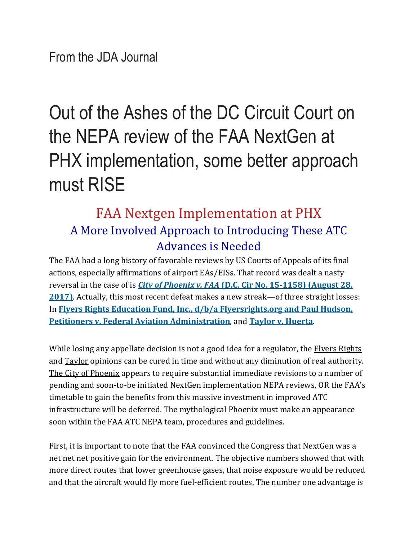## Out of the Ashes of the DC Circuit Court on the NEPA review of the FAA NextGen at PHX implementation, some better approach must RISE

## FAA Nextgen Implementation at PHX A More Involved Approach to Introducing These ATC Advances is Needed

The FAA had a long history of favorable reviews by US Courts of Appeals of its final actions, especially affirmations of airport EAs/EISs. That record was dealt a nasty reversal in the case of is *City of [Phoenix](http://kaplankirschrockwellllp.cmail19.com/t/d-l-uludwy-pdddthhkl-r/) v. FAA* **(D.C. Cir No. [15-1158\)](http://kaplankirschrockwellllp.cmail19.com/t/d-l-uludwy-pdddthhkl-r/) (August 28, [2017\)](http://kaplankirschrockwellllp.cmail19.com/t/d-l-uludwy-pdddthhkl-r/)**. Actually, this most recent defeat makes a new streak—of three straight losses: In **Flyers Rights Education Fund, Inc., d/b/a [Flyersrights.org](https://www.cadc.uscourts.gov/internet/opinions.nsf/79A1759702B937FE8525816B00543945/$file/16-1101-1686279.pdf) and Paul Hudson, Petitioners v. Federal Aviation [Administration](https://www.cadc.uscourts.gov/internet/opinions.nsf/79A1759702B937FE8525816B00543945/$file/16-1101-1686279.pdf)**, and **Taylor v. [Huerta](https://www.cadc.uscourts.gov/internet/opinions.nsf/FA6F27FFAA83E20585258125004FBC13/$file/15-1495-1675918.pdf)**.

While losing any appellate decision is not a good idea for a regulator, the Flyers Rights and Taylor opinions can be cured in time and without any diminution of real authority. The City of Phoenix appears to require substantial immediate revisions to a number of pending and soon-to-be initiated NextGen implementation NEPA reviews, OR the FAA's timetable to gain the benefits from this massive investment in improved ATC infrastructure will be deferred. The mythological Phoenix must make an appearance soon within the FAA ATC NEPA team, procedures and guidelines.

First, it is important to note that the FAA convinced the Congress that NextGen was a net net net positive gain for the environment. The objective numbers showed that with more direct routes that lower greenhouse gases, that noise exposure would be reduced and that the aircraft would fly more fuel-efficient routes. The number one advantage is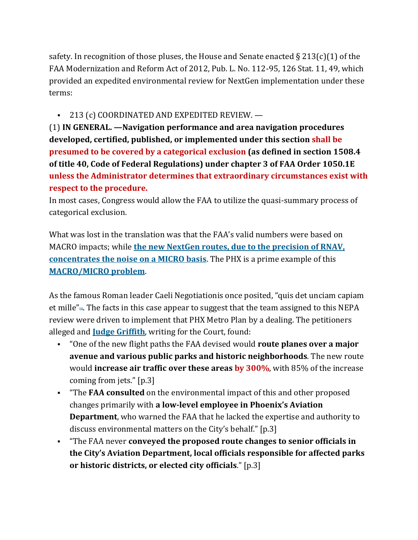safety. In recognition of those pluses, the House and Senate enacted  $\S 213(c)(1)$  of the FAA Modernization and Reform Act of 2012, Pub. L. No. 112-95, 126 Stat. 11, 49, which provided an expedited environmental review for NextGen implementation under these terms:

## ■ 213 (c) COORDINATED AND EXPEDITED REVIEW. —

(1) **IN GENERAL. —Navigation performance and area navigation procedures developed, certified, published, or implemented under this section shall be presumed to be covered by a categorical exclusion (as defined in section 1508.4 of title 40, Code of Federal Regulations) under chapter 3 of FAA Order 1050.1E unless the Administrator determines that extraordinary circumstances exist with respect to the procedure.**

In most cases, Congress would allow the FAA to utilize the quasi-summary process of categorical exclusion.

What was lost in the translation was that the FAA's valid numbers were based on MACRO impacts; while **the new NextGen routes, due to the [precision](http://jdasolutions.aero/blog/nextgen-noise-study/) of RNAV, [concentrates](http://jdasolutions.aero/blog/nextgen-noise-study/) the noise on a MICRO basis**. The PHX is a prime example of this **[MACRO/MICRO](http://jdasolutions.aero/blog/nextgen-carbon-reduction/) problem**.

As the famous Roman leader Caeli Negotiationis once posited, "quis det unciam capiam et mille["](http://jdasolutions.aero/blog/faa-nextgen-phx-implementation/#_ftn1)**[1]**. The facts in this case appear to suggest that the team assigned to this NEPA review were driven to implement that PHX Metro Plan by a dealing. The petitioners alleged and **Judge [Griffith](https://en.wikipedia.org/wiki/Thomas_B._Griffith)**, writing for the Court, found:

- "One of the new flight paths the FAA devised would **route planes over a major avenue and various public parks and historic neighborhoods**. The new route would **increase air traffic over these areas by 300%**, with 85% of the increase coming from jets." [p.3]
- "The **FAA consulted** on the environmental impact of this and other proposed changes primarily with **a low-level employee in Phoenix's Aviation Department**, who warned the FAA that he lacked the expertise and authority to discuss environmental matters on the City's behalf." [p.3]
- "The FAA never **conveyed the proposed route changes to senior officials in the City's Aviation Department, local officials responsible for affected parks or historic districts, or elected city officials**." [p.3]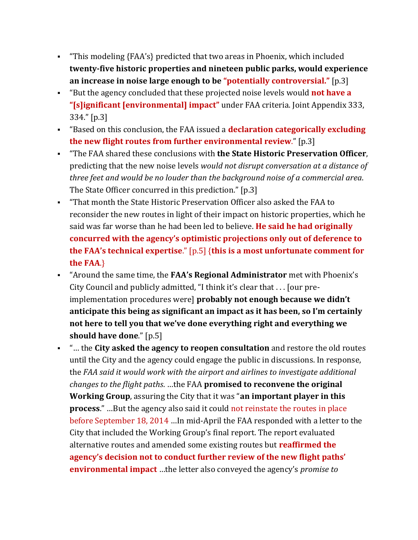- "This modeling {FAA's} predicted that two areas in Phoenix, which included **twenty-five historic properties and nineteen public parks, would experience an increase in noise large enough to be "potentially controversial."** [p.3]
- "But the agency concluded that these projected noise levels would **not have a "[s]ignificant [environmental] impact"** under FAA criteria. Joint Appendix 333, 334." [p.3]
- "Based on this conclusion, the FAA issued a **declaration categorically excluding the new flight routes from further environmental review**." [p.3]
- "The FAA shared these conclusions with **the State Historic Preservation Officer**, predicting that the new noise levels *would not disrupt conversation at a distance of three feet and would be no louder than the background noise of a commercial area*. The State Officer concurred in this prediction." [p.3]
- "That month the State Historic Preservation Officer also asked the FAA to reconsider the new routes in light of their impact on historic properties, which he said was far worse than he had been led to believe. **He said he had originally concurred with the agency's optimistic projections only out of deference to the FAA's technical expertise**." [p.5] {**this is a most unfortunate comment for the FAA**.}
- "Around the same time, the **FAA's Regional Administrator** met with Phoenix's City Council and publicly admitted, "I think it's clear that . . . [our preimplementation procedures were] **probably not enough because we didn't anticipate this being as significant an impact as it has been, so I'm certainly not here to tell you that we've done everything right and everything we should have done**." [p.5]
- "… the **City asked the agency to reopen consultation** and restore the old routes until the City and the agency could engage the public in discussions. In response, the *FAA said it would work with the airport and airlines to investigate additional changes to the flight paths*. …the FAA **promised to reconvene the original Working Group**, assuring the City that it was "**an important player in this process**." …But the agency also said it could not reinstate the routes in place before September 18, 2014 …In mid-April the FAA responded with a letter to the City that included the Working Group's final report. The report evaluated alternative routes and amended some existing routes but **reaffirmed the agency's decision not to conduct further review of the new flight paths' environmental impact** …the letter also conveyed the agency's *promise to*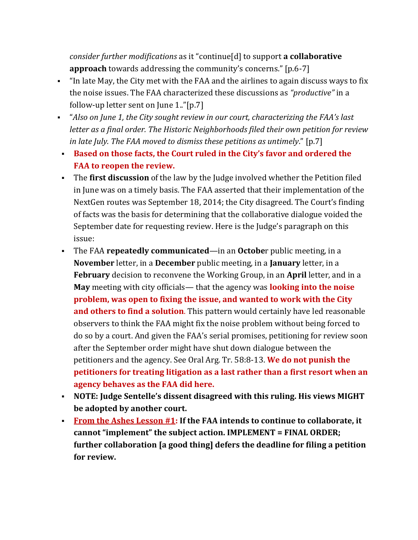*consider further modifications* as it "continue[d] to support **a collaborative approach** towards addressing the community's concerns." [p.6-7]

- "In late May, the City met with the FAA and the airlines to again discuss ways to fix the noise issues. The FAA characterized these discussions as *"productive"* in a follow-up letter sent on June 1.."[p.7]
- "*Also on June 1, the City sought review in our court, characterizing the FAA's last letter as a final order. The Historic Neighborhoods filed their own petition for review in late July. The FAA moved to dismiss these petitions as untimely*." [p.7]
- **Based on those facts, the Court ruled in the City's favor and ordered the FAA to reopen the review.**
- The **first discussion** of the law by the Judge involved whether the Petition filed in June was on a timely basis. The FAA asserted that their implementation of the NextGen routes was September 18, 2014; the City disagreed. The Court's finding of facts was the basis for determining that the collaborative dialogue voided the September date for requesting review. Here is the Judge's paragraph on this issue:
- The FAA **repeatedly communicated**—in an **Octobe**r public meeting, in a **November** letter, in a **December** public meeting, in a **January** letter, in a **February** decision to reconvene the Working Group, in an **April** letter, and in a **May** meeting with city officials— that the agency was **looking into the noise problem, was open to fixing the issue, and wanted to work with the City and others to find a solution**. This pattern would certainly have led reasonable observers to think the FAA might fix the noise problem without being forced to do so by a court. And given the FAA's serial promises, petitioning for review soon after the September order might have shut down dialogue between the petitioners and the agency. See Oral Arg. Tr. 58:8-13. **We do not punish the petitioners for treating litigation as a last rather than a first resort when an agency behaves as the FAA did here.**
- **NOTE: Judge Sentelle's dissent disagreed with this ruling. His views MIGHT be adopted by another court.**
- **From the Ashes Lesson #1: If the FAA intends to continue to collaborate, it cannot "implement" the subject action. IMPLEMENT = FINAL ORDER; further collaboration [a good thing] defers the deadline for filing a petition for review.**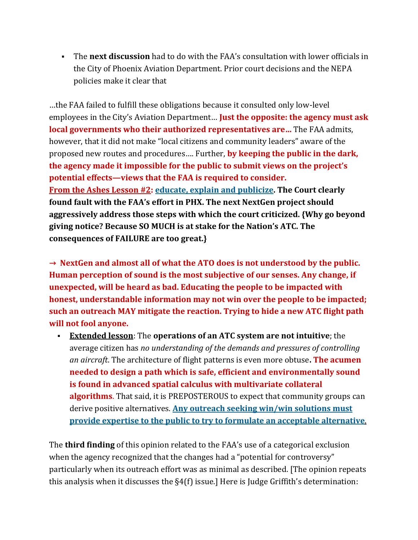▪ The **next discussion** had to do with the FAA's consultation with lower officials in the City of Phoenix Aviation Department. Prior court decisions and the NEPA policies make it clear that

…the FAA failed to fulfill these obligations because it consulted only low-level employees in the City's Aviation Department… **Just the opposite: the agency must ask local governments who their authorized representatives are…** The FAA admits, however, that it did not make "local citizens and community leaders" aware of the proposed new routes and procedures…. Further, **by keeping the public in the dark, the agency made it impossible for the public to submit views on the project's potential effects—views that the FAA is required to consider. From the Ashes Lesson #2: educate, explain and [publicize.](http://jdasolutions.aero/blog/technology-and-noise-may-clash-as-nextgen-is-introduced-without-prior-education-of-the-populace/) The Court clearly found fault with the FAA's effort in PHX. The next NextGen project should aggressively address those steps with which the court criticized. {Why go beyond giving notice? Because SO MUCH is at stake for the Nation's ATC. The consequences of FAILURE are too great.}**

**→ NextGen and almost all of what the ATO does is not understood by the public. Human perception of sound is the most subjective of our senses. Any change, if unexpected, will be heard as bad. Educating the people to be impacted with honest, understandable information may not win over the people to be impacted; such an outreach MAY mitigate the reaction. Trying to hide a new ATC flight path will not fool anyone.**

▪ **Extended lesson**: The **operations of an ATC system are not intuitive**; the average citizen has *no understanding of the demands and pressures of controlling an aircraft*. The architecture of flight patterns is even more obtuse**. The acumen needed to design a path which is safe, efficient and environmentally sound is found in advanced spatial calculus with multivariate collateral algorithms**. That said, it is PREPOSTEROUS to expect that community groups can derive positive alternatives. **Any outreach seeking win/win [solutions](http://jdasolutions.aero/blog/nextgen-patterns/) must provide expertise to the public to try to formulate an acceptable [alternative](http://jdasolutions.aero/blog/nextgen-patterns/)**.

The **third finding** of this opinion related to the FAA's use of a categorical exclusion when the agency recognized that the changes had a "potential for controversy" particularly when its outreach effort was as minimal as described. [The opinion repeats this analysis when it discusses the §4(f) issue.] Here is Judge Griffith's determination: